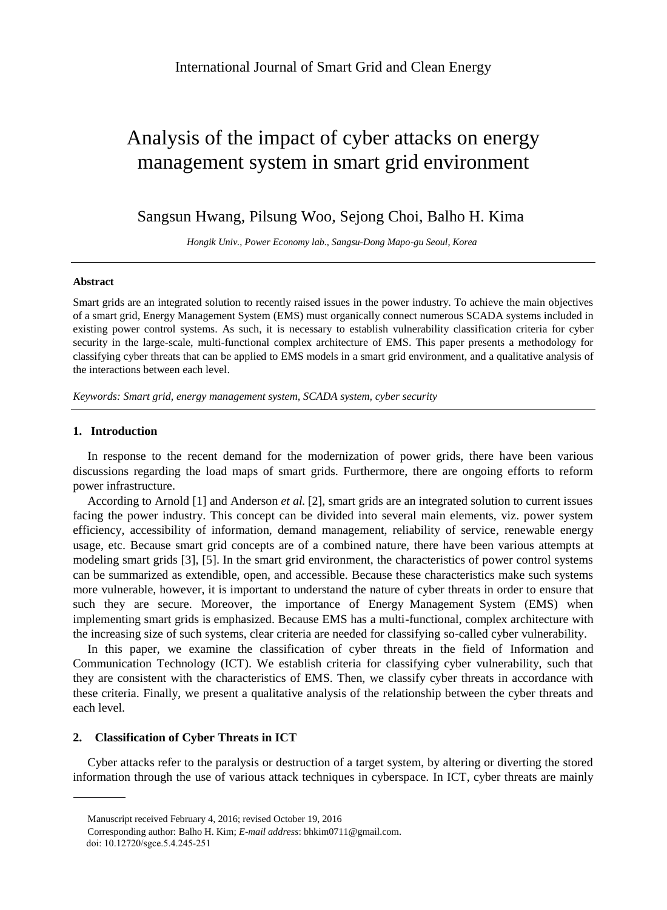# Analysis of the impact of cyber attacks on energy management system in smart grid environment

## Sangsun Hwang, Pilsung Woo, Sejong Choi, Balho H. Kima

*Hongik Univ., Power Economy lab., Sangsu-Dong Mapo-gu Seoul, Korea*

#### **Abstract**

Smart grids are an integrated solution to recently raised issues in the power industry. To achieve the main objectives of a smart grid, Energy Management System (EMS) must organically connect numerous SCADA systems included in existing power control systems. As such, it is necessary to establish vulnerability classification criteria for cyber security in the large-scale, multi-functional complex architecture of EMS. This paper presents a methodology for classifying cyber threats that can be applied to EMS models in a smart grid environment, and a qualitative analysis of the interactions between each level.

*Keywords: Smart grid, energy management system, SCADA system, cyber security*

## **1. Introduction**

In response to the recent demand for the modernization of power grids, there have been various discussions regarding the load maps of smart grids. Furthermore, there are ongoing efforts to reform power infrastructure.

facing the power industry. This concept can be divided into several main elements, viz. power system efficiency, accessibility of information, demand management, reliability of service, renewable energy usage, etc. Because smart grid concepts are of a combined nature, there have been various attempts at modeling smart grids [3], [5]. In the smart grid environment, the characteristics of power control systems can be summarized as extendible, open, and accessible. Because these characteristics make such systems more vulnerable, however, it is important to understand the nature of cyber threats in order to ensure that such they are secure. Moreover, the importance of Energy Management System (EMS) when implementing smart grids is emphasized. Because EMS has a multi-functional, complex architecture with the increasing size of such systems, clear criteria are needed for classifying so-called cyber vulnerability. According to Arnold [1] and Anderson *et al.* [2], smart grids are an integrated solution to current issues

In this paper, we examine the classification of cyber threats in the field of Information and Communication Technology (ICT). We establish criteria for classifying cyber vulnerability, such that they are consistent with the characteristics of EMS. Then, we classify cyber threats in accordance with these criteria. Finally, we present a qualitative analysis of the relationship between the cyber threats and each level.

## **2. Classification of Cyber Threats in ICT**

Cyber attacks refer to the paralysis or destruction of a target system, by altering or diverting the stored information through the use of various attack techniques in cyberspace. In ICT, cyber threats are mainly

Manuscript received February 4, 2016; revised October 19, 2016

Corresponding author: Balho H. Kim; *E-mail address*: bhkim0711@gmail.com.

doi: 10.12720/sgce.5.4.245-251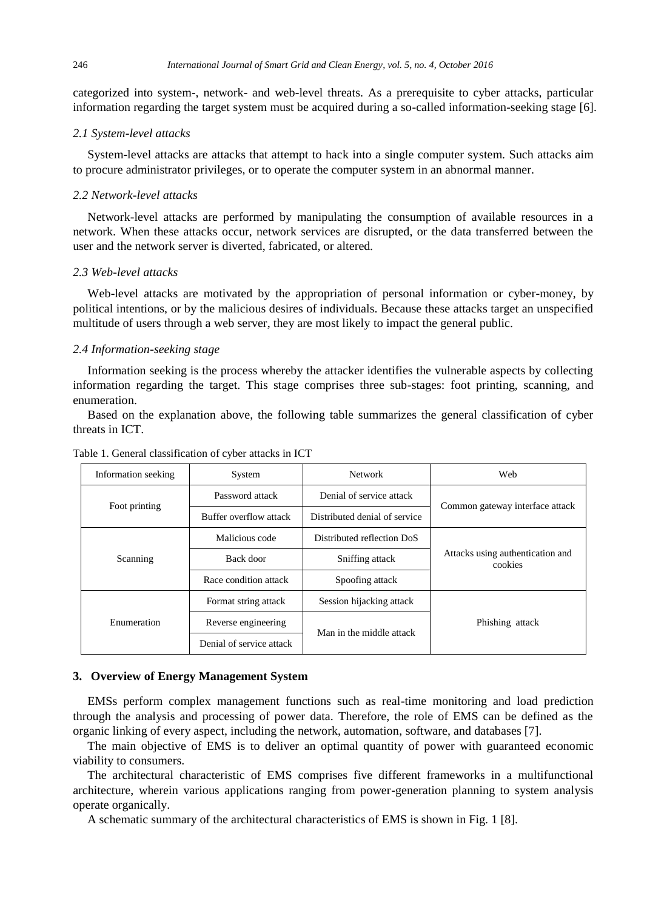categorized into system-, network- and web-level threats. As a prerequisite to cyber attacks, particular information regarding the target system must be acquired during a so-called information-seeking stage [6].

## *2.1 System-level attacks*

System-level attacks are attacks that attempt to hack into a single computer system. Such attacks aim to procure administrator privileges, or to operate the computer system in an abnormal manner.

## *2.2 Network-level attacks*

Network-level attacks are performed by manipulating the consumption of available resources in a network. When these attacks occur, network services are disrupted, or the data transferred between the user and the network server is diverted, fabricated, or altered.

## *2.3 Web-level attacks*

Web-level attacks are motivated by the appropriation of personal information or cyber-money, by political intentions, or by the malicious desires of individuals. Because these attacks target an unspecified multitude of users through a web server, they are most likely to impact the general public.

## *2.4 Information-seeking stage*

Information seeking is the process whereby the attacker identifies the vulnerable aspects by collecting information regarding the target. This stage comprises three sub-stages: foot printing, scanning, and enumeration.

Based on the explanation above, the following table summarizes the general classification of cyber threats in ICT.

| Information seeking | System                   | Network<br>Web                |                                             |  |
|---------------------|--------------------------|-------------------------------|---------------------------------------------|--|
| Foot printing       | Password attack          | Denial of service attack      | Common gateway interface attack             |  |
|                     | Buffer overflow attack   | Distributed denial of service |                                             |  |
| Scanning            | Malicious code           | Distributed reflection DoS    | Attacks using authentication and<br>cookies |  |
|                     | Back door                | Sniffing attack               |                                             |  |
|                     | Race condition attack    | Spoofing attack               |                                             |  |
| Enumeration         | Format string attack     | Session hijacking attack      |                                             |  |
|                     | Reverse engineering      | Man in the middle attack      | Phishing attack                             |  |
|                     | Denial of service attack |                               |                                             |  |

Table 1. General classification of cyber attacks in ICT

#### **3. Overview of Energy Management System**

EMSs perform complex management functions such as real-time monitoring and load prediction through the analysis and processing of power data. Therefore, the role of EMS can be defined as the organic linking of every aspect, including the network, automation, software, and databases [7].

The main objective of EMS is to deliver an optimal quantity of power with guaranteed economic viability to consumers.

The architectural characteristic of EMS comprises five different frameworks in a multifunctional architecture, wherein various applications ranging from power-generation planning to system analysis operate organically.

A schematic summary of the architectural characteristics of EMS is shown in Fig. 1 [8].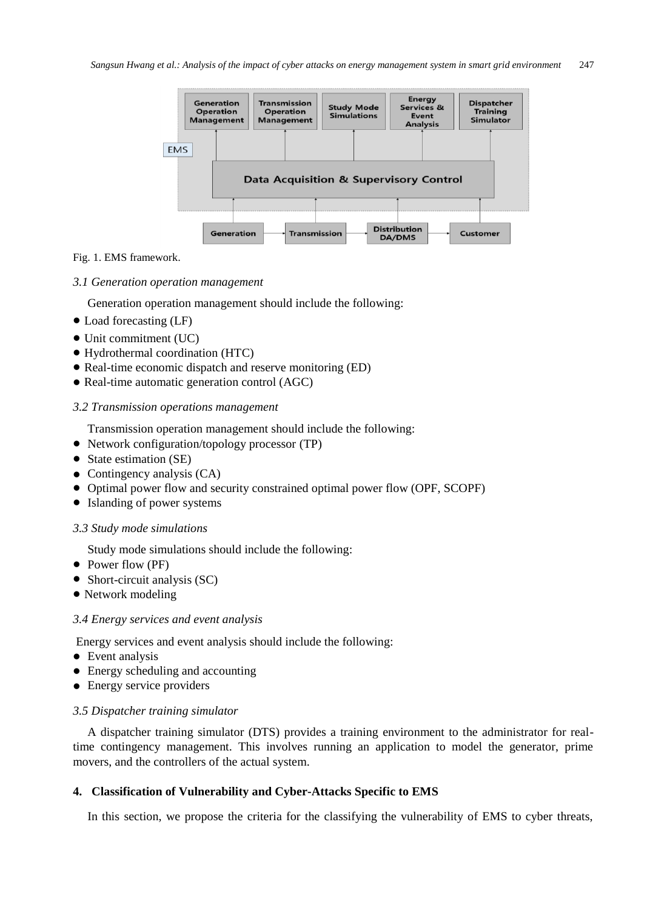

#### Fig. 1. EMS framework.

#### *3.1 Generation operation management*

Generation operation management should include the following:

- Load forecasting (LF)
- Unit commitment (UC)
- Hydrothermal coordination (HTC)
- Real-time economic dispatch and reserve monitoring (ED)
- Real-time automatic generation control (AGC)

## *3.2 Transmission operations management*

Transmission operation management should include the following:

- Network configuration/topology processor (TP)
- State estimation (SE)
- Contingency analysis (CA)
- Optimal power flow and security constrained optimal power flow (OPF, SCOPF)
- Islanding of power systems

## *3.3 Study mode simulations*

Study mode simulations should include the following:

- Power flow (PF)
- Short-circuit analysis (SC)
- Network modeling

## *3.4 Energy services and event analysis*

Energy services and event analysis should include the following:

- Event analysis
- Energy scheduling and accounting
- **•** Energy service providers

## *3.5 Dispatcher training simulator*

A dispatcher training simulator (DTS) provides a training environment to the administrator for realtime contingency management. This involves running an application to model the generator, prime movers, and the controllers of the actual system.

## **4. Classification of Vulnerability and Cyber-Attacks Specific to EMS**

In this section, we propose the criteria for the classifying the vulnerability of EMS to cyber threats,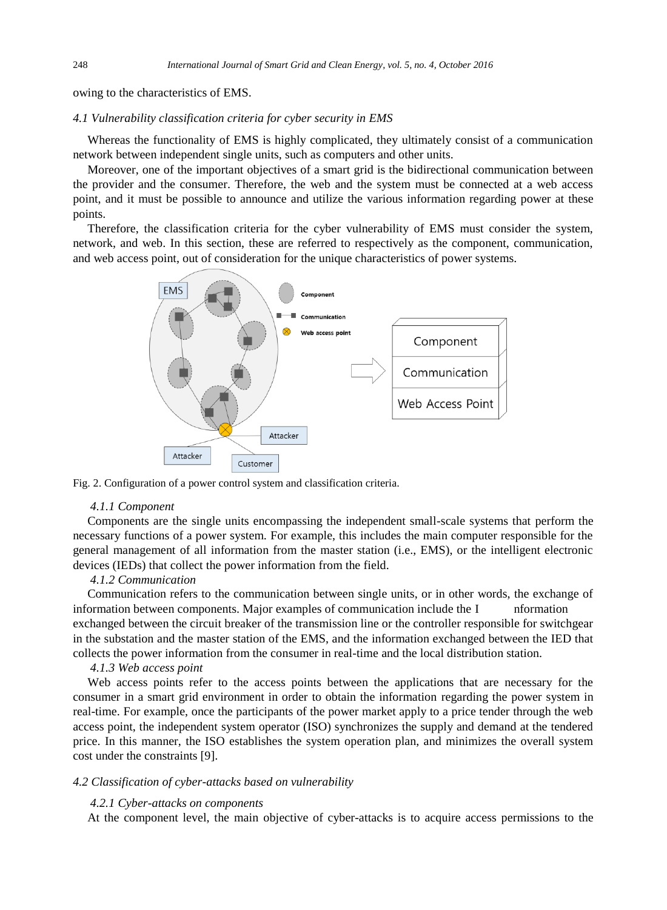owing to the characteristics of EMS.

#### *4.1 Vulnerability classification criteria for cyber security in EMS*

Whereas the functionality of EMS is highly complicated, they ultimately consist of a communication network between independent single units, such as computers and other units.

Moreover, one of the important objectives of a smart grid is the bidirectional communication between the provider and the consumer. Therefore, the web and the system must be connected at a web access point, and it must be possible to announce and utilize the various information regarding power at these points.

Therefore, the classification criteria for the cyber vulnerability of EMS must consider the system, network, and web. In this section, these are referred to respectively as the component, communication, and web access point, out of consideration for the unique characteristics of power systems.



Fig. 2. Configuration of a power control system and classification criteria.

#### *4.1.1 Component*

Components are the single units encompassing the independent small-scale systems that perform the necessary functions of a power system. For example, this includes the main computer responsible for the general management of all information from the master station (i.e., EMS), or the intelligent electronic devices (IEDs) that collect the power information from the field.

## *4.1.2 Communication*

Communication refers to the communication between single units, or in other words, the exchange of information between components. Major examples of communication include the  $I$  nformation exchanged between the circuit breaker of the transmission line or the controller responsible for switchgear in the substation and the master station of the EMS, and the information exchanged between the IED that collects the power information from the consumer in real-time and the local distribution station.

#### *4.1.3 Web access point*

Web access points refer to the access points between the applications that are necessary for the consumer in a smart grid environment in order to obtain the information regarding the power system in real-time. For example, once the participants of the power market apply to a price tender through the web access point, the independent system operator (ISO) synchronizes the supply and demand at the tendered price. In this manner, the ISO establishes the system operation plan, and minimizes the overall system cost under the constraints [9].

#### *4.2 Classification of cyber-attacks based on vulnerability*

#### *4.2.1 Cyber-attacks on components*

At the component level, the main objective of cyber-attacks is to acquire access permissions to the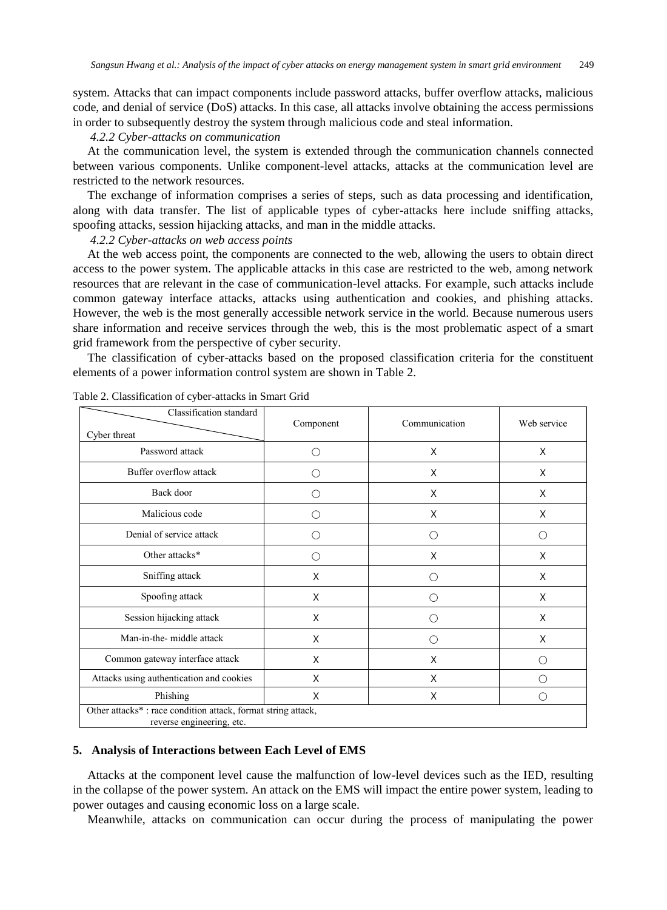system. Attacks that can impact components include password attacks, buffer overflow attacks, malicious code, and denial of service (DoS) attacks. In this case, all attacks involve obtaining the access permissions in order to subsequently destroy the system through malicious code and steal information.

#### *4.2.2 Cyber-attacks on communication*

At the communication level, the system is extended through the communication channels connected between various components. Unlike component-level attacks, attacks at the communication level are restricted to the network resources.

The exchange of information comprises a series of steps, such as data processing and identification, along with data transfer. The list of applicable types of cyber-attacks here include sniffing attacks, spoofing attacks, session hijacking attacks, and man in the middle attacks.

#### *4.2.2 Cyber-attacks on web access points*

At the web access point, the components are connected to the web, allowing the users to obtain direct access to the power system. The applicable attacks in this case are restricted to the web, among network resources that are relevant in the case of communication-level attacks. For example, such attacks include common gateway interface attacks, attacks using authentication and cookies, and phishing attacks. However, the web is the most generally accessible network service in the world. Because numerous users share information and receive services through the web, this is the most problematic aspect of a smart grid framework from the perspective of cyber security.

The classification of cyber-attacks based on the proposed classification criteria for the constituent elements of a power information control system are shown in Table 2.

| Classification standard                                                                   |           | Communication | Web service                                 |
|-------------------------------------------------------------------------------------------|-----------|---------------|---------------------------------------------|
| Cyber threat                                                                              | Component |               |                                             |
| Password attack                                                                           | ∩         | X             | X                                           |
| Buffer overflow attack                                                                    | ( )       | X             | X                                           |
| Back door                                                                                 | ∩         | X             | X                                           |
| Malicious code                                                                            | ( )       | X             | X                                           |
| Denial of service attack                                                                  | ( )       | ∩             | ∩                                           |
| Other attacks*                                                                            | ∩         | X             | X                                           |
| Sniffing attack                                                                           | X         | ( )           | X                                           |
| Spoofing attack                                                                           | X         | ( )           | X                                           |
| Session hijacking attack                                                                  | X         | ( )           | X                                           |
| Man-in-the- middle attack                                                                 | X         | ∩             | X                                           |
| Common gateway interface attack                                                           | X         | X             | ∩                                           |
| Attacks using authentication and cookies                                                  | X         | X             | $\left(\begin{array}{c} \end{array}\right)$ |
| Phishing                                                                                  | X         | X             | ( )                                         |
| Other attacks*: race condition attack, format string attack,<br>reverse engineering, etc. |           |               |                                             |

Table 2. Classification of cyber-attacks in Smart Grid

## **5. Analysis of Interactions between Each Level of EMS**

Attacks at the component level cause the malfunction of low-level devices such as the IED, resulting in the collapse of the power system. An attack on the EMS will impact the entire power system, leading to power outages and causing economic loss on a large scale.

Meanwhile, attacks on communication can occur during the process of manipulating the power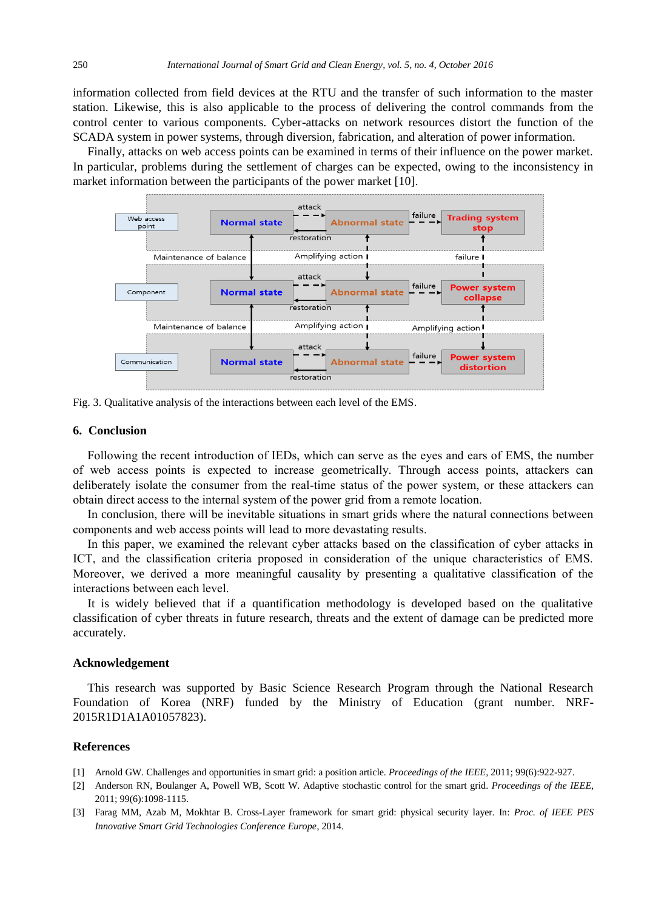information collected from field devices at the RTU and the transfer of such information to the master station. Likewise, this is also applicable to the process of delivering the control commands from the control center to various components. Cyber-attacks on network resources distort the function of the SCADA system in power systems, through diversion, fabrication, and alteration of power information.

Finally, attacks on web access points can be examined in terms of their influence on the power market. In particular, problems during the settlement of charges can be expected, owing to the inconsistency in market information between the participants of the power market [10].



Fig. 3. Qualitative analysis of the interactions between each level of the EMS.

#### **6. Conclusion**

Following the recent introduction of IEDs, which can serve as the eyes and ears of EMS, the number of web access points is expected to increase geometrically. Through access points, attackers can deliberately isolate the consumer from the real-time status of the power system, or these attackers can obtain direct access to the internal system of the power grid from a remote location.

In conclusion, there will be inevitable situations in smart grids where the natural connections between components and web access points will lead to more devastating results.

In this paper, we examined the relevant cyber attacks based on the classification of cyber attacks in ICT, and the classification criteria proposed in consideration of the unique characteristics of EMS. Moreover, we derived a more meaningful causality by presenting a qualitative classification of the interactions between each level.

It is widely believed that if a quantification methodology is developed based on the qualitative classification of cyber threats in future research, threats and the extent of damage can be predicted more accurately.

#### **Acknowledgement**

This research was supported by Basic Science Research Program through the National Research Foundation of Korea (NRF) funded by the Ministry of Education (grant number. NRF-2015R1D1A1A01057823).

## **References**

- [1] Arnold GW. Challenges and opportunities in smart grid: a position article. *Proceedings of the IEEE*, 2011; 99(6):922-927.
- [2] Anderson RN, Boulanger A, Powell WB, Scott W. Adaptive stochastic control for the smart grid. *Proceedings of the IEEE*, 2011; 99(6):1098-1115.
- [3] Farag MM, Azab M, Mokhtar B. Cross-Layer framework for smart grid: physical security layer. In: *Proc. of IEEE PES Innovative Smart Grid Technologies Conference Europe*, 2014.